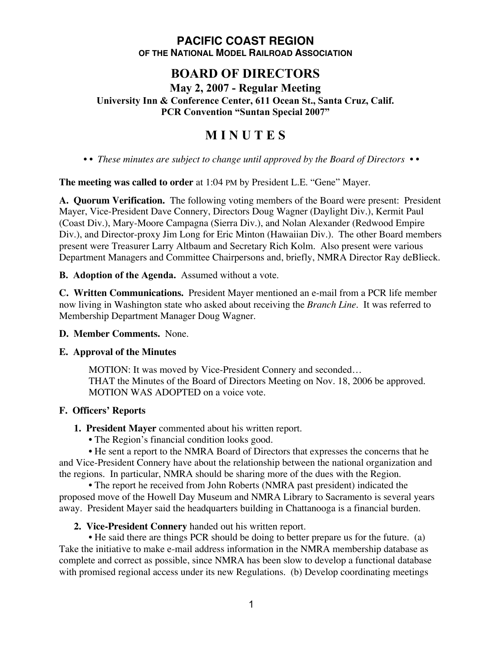## **PACIFIC COAST REGION OF THE NATIONAL MODEL RAILROAD ASSOCIATION**

## **BOARD OF DIRECTORS**

**May 2, 2007 - Regular Meeting**

**University Inn & Conference Center, 611 Ocean St., Santa Cruz, Calif. PCR Convention "Suntan Special 2007"**

# **M I N U T E S**

*• • These minutes are subject to change until approved by the Board of Directors • •*

**The meeting was called to order** at 1:04 PM by President L.E. "Gene" Mayer.

**A. Quorum Verification.** The following voting members of the Board were present: President Mayer, Vice-President Dave Connery, Directors Doug Wagner (Daylight Div.), Kermit Paul (Coast Div.), Mary-Moore Campagna (Sierra Div.), and Nolan Alexander (Redwood Empire Div.), and Director-proxy Jim Long for Eric Minton (Hawaiian Div.). The other Board members present were Treasurer Larry Altbaum and Secretary Rich Kolm. Also present were various Department Managers and Committee Chairpersons and, briefly, NMRA Director Ray deBlieck.

**B. Adoption of the Agenda.** Assumed without a vote.

**C. Written Communications.** President Mayer mentioned an e-mail from a PCR life member now living in Washington state who asked about receiving the *Branch Line*. It was referred to Membership Department Manager Doug Wagner.

**D. Member Comments.** None.

## **E. Approval of the Minutes**

MOTION: It was moved by Vice-President Connery and seconded… THAT the Minutes of the Board of Directors Meeting on Nov. 18, 2006 be approved. MOTION WAS ADOPTED on a voice vote.

## **F. Officers' Reports**

- **1. President Mayer** commented about his written report.
	- The Region's financial condition looks good.

• He sent a report to the NMRA Board of Directors that expresses the concerns that he and Vice-President Connery have about the relationship between the national organization and the regions. In particular, NMRA should be sharing more of the dues with the Region.

• The report he received from John Roberts (NMRA past president) indicated the proposed move of the Howell Day Museum and NMRA Library to Sacramento is several years away. President Mayer said the headquarters building in Chattanooga is a financial burden.

**2. Vice-President Connery** handed out his written report.

• He said there are things PCR should be doing to better prepare us for the future. (a) Take the initiative to make e-mail address information in the NMRA membership database as complete and correct as possible, since NMRA has been slow to develop a functional database with promised regional access under its new Regulations. (b) Develop coordinating meetings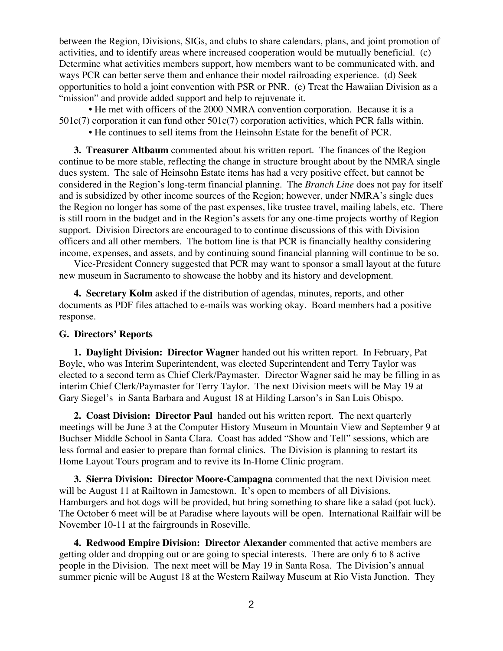between the Region, Divisions, SIGs, and clubs to share calendars, plans, and joint promotion of activities, and to identify areas where increased cooperation would be mutually beneficial. (c) Determine what activities members support, how members want to be communicated with, and ways PCR can better serve them and enhance their model railroading experience. (d) Seek opportunities to hold a joint convention with PSR or PNR. (e) Treat the Hawaiian Division as a "mission" and provide added support and help to rejuvenate it.

• He met with officers of the 2000 NMRA convention corporation. Because it is a 501c(7) corporation it can fund other 501c(7) corporation activities, which PCR falls within.

• He continues to sell items from the Heinsohn Estate for the benefit of PCR.

**3. Treasurer Altbaum** commented about his written report. The finances of the Region continue to be more stable, reflecting the change in structure brought about by the NMRA single dues system. The sale of Heinsohn Estate items has had a very positive effect, but cannot be considered in the Region's long-term financial planning. The *Branch Line* does not pay for itself and is subsidized by other income sources of the Region; however, under NMRA's single dues the Region no longer has some of the past expenses, like trustee travel, mailing labels, etc. There is still room in the budget and in the Region's assets for any one-time projects worthy of Region support. Division Directors are encouraged to to continue discussions of this with Division officers and all other members. The bottom line is that PCR is financially healthy considering income, expenses, and assets, and by continuing sound financial planning will continue to be so.

Vice-President Connery suggested that PCR may want to sponsor a small layout at the future new museum in Sacramento to showcase the hobby and its history and development.

**4. Secretary Kolm** asked if the distribution of agendas, minutes, reports, and other documents as PDF files attached to e-mails was working okay. Board members had a positive response.

#### **G. Directors' Reports**

**1. Daylight Division: Director Wagner** handed out his written report. In February, Pat Boyle, who was Interim Superintendent, was elected Superintendent and Terry Taylor was elected to a second term as Chief Clerk/Paymaster. Director Wagner said he may be filling in as interim Chief Clerk/Paymaster for Terry Taylor. The next Division meets will be May 19 at Gary Siegel's in Santa Barbara and August 18 at Hilding Larson's in San Luis Obispo.

**2. Coast Division: Director Paul** handed out his written report. The next quarterly meetings will be June 3 at the Computer History Museum in Mountain View and September 9 at Buchser Middle School in Santa Clara. Coast has added "Show and Tell" sessions, which are less formal and easier to prepare than formal clinics. The Division is planning to restart its Home Layout Tours program and to revive its In-Home Clinic program.

**3. Sierra Division: Director Moore-Campagna** commented that the next Division meet will be August 11 at Railtown in Jamestown. It's open to members of all Divisions. Hamburgers and hot dogs will be provided, but bring something to share like a salad (pot luck). The October 6 meet will be at Paradise where layouts will be open. International Railfair will be November 10-11 at the fairgrounds in Roseville.

**4. Redwood Empire Division: Director Alexander** commented that active members are getting older and dropping out or are going to special interests. There are only 6 to 8 active people in the Division. The next meet will be May 19 in Santa Rosa. The Division's annual summer picnic will be August 18 at the Western Railway Museum at Rio Vista Junction. They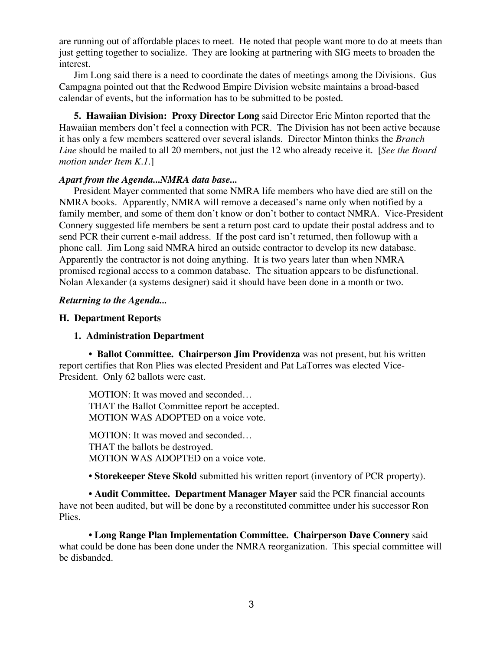are running out of affordable places to meet. He noted that people want more to do at meets than just getting together to socialize. They are looking at partnering with SIG meets to broaden the interest.

Jim Long said there is a need to coordinate the dates of meetings among the Divisions. Gus Campagna pointed out that the Redwood Empire Division website maintains a broad-based calendar of events, but the information has to be submitted to be posted.

**5. Hawaiian Division: Proxy Director Long** said Director Eric Minton reported that the Hawaiian members don't feel a connection with PCR. The Division has not been active because it has only a few members scattered over several islands. Director Minton thinks the *Branch Line* should be mailed to all 20 members, not just the 12 who already receive it. [*See the Board motion under Item K.1.*]

#### *Apart from the Agenda...NMRA data base...*

President Mayer commented that some NMRA life members who have died are still on the NMRA books. Apparently, NMRA will remove a deceased's name only when notified by a family member, and some of them don't know or don't bother to contact NMRA. Vice-President Connery suggested life members be sent a return post card to update their postal address and to send PCR their current e-mail address. If the post card isn't returned, then followup with a phone call. Jim Long said NMRA hired an outside contractor to develop its new database. Apparently the contractor is not doing anything. It is two years later than when NMRA promised regional access to a common database. The situation appears to be disfunctional. Nolan Alexander (a systems designer) said it should have been done in a month or two.

#### *Returning to the Agenda...*

#### **H. Department Reports**

#### **1. Administration Department**

**• Ballot Committee. Chairperson Jim Providenza** was not present, but his written report certifies that Ron Plies was elected President and Pat LaTorres was elected Vice-President. Only 62 ballots were cast.

MOTION: It was moved and seconded… THAT the Ballot Committee report be accepted. MOTION WAS ADOPTED on a voice vote.

MOTION: It was moved and seconded… THAT the ballots be destroyed. MOTION WAS ADOPTED on a voice vote.

**• Storekeeper Steve Skold** submitted his written report (inventory of PCR property).

**• Audit Committee. Department Manager Mayer** said the PCR financial accounts have not been audited, but will be done by a reconstituted committee under his successor Ron Plies.

**• Long Range Plan Implementation Committee. Chairperson Dave Connery** said what could be done has been done under the NMRA reorganization. This special committee will be disbanded.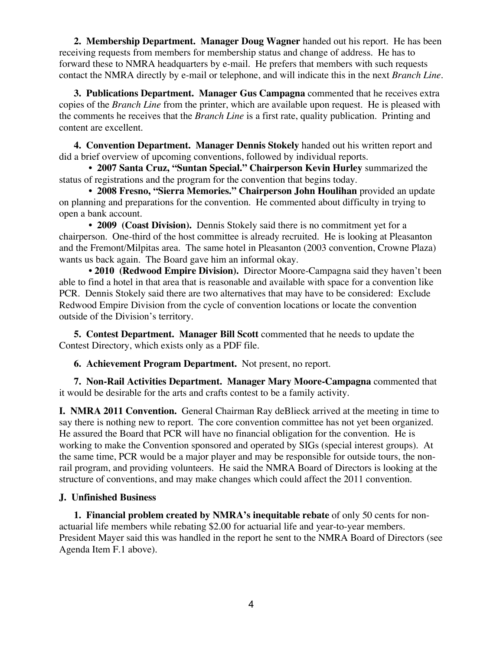**2. Membership Department. Manager Doug Wagner** handed out his report. He has been receiving requests from members for membership status and change of address. He has to forward these to NMRA headquarters by e-mail. He prefers that members with such requests contact the NMRA directly by e-mail or telephone, and will indicate this in the next *Branch Line*.

**3. Publications Department. Manager Gus Campagna** commented that he receives extra copies of the *Branch Line* from the printer, which are available upon request. He is pleased with the comments he receives that the *Branch Line* is a first rate, quality publication. Printing and content are excellent.

**4. Convention Department. Manager Dennis Stokely** handed out his written report and did a brief overview of upcoming conventions, followed by individual reports.

• **2007 Santa Cruz, "Suntan Special." Chairperson Kevin Hurley** summarized the status of registrations and the program for the convention that begins today.

**• 2008 Fresno, "Sierra Memories." Chairperson John Houlihan** provided an update on planning and preparations for the convention. He commented about difficulty in trying to open a bank account.

**• 2009 (Coast Division).** Dennis Stokely said there is no commitment yet for a chairperson. One-third of the host committee is already recruited. He is looking at Pleasanton and the Fremont/Milpitas area. The same hotel in Pleasanton (2003 convention, Crowne Plaza) wants us back again. The Board gave him an informal okay.

**• 2010 (Redwood Empire Division).** Director Moore-Campagna said they haven't been able to find a hotel in that area that is reasonable and available with space for a convention like PCR. Dennis Stokely said there are two alternatives that may have to be considered: Exclude Redwood Empire Division from the cycle of convention locations or locate the convention outside of the Division's territory.

**5. Contest Department. Manager Bill Scott** commented that he needs to update the Contest Directory, which exists only as a PDF file.

**6. Achievement Program Department.** Not present, no report.

**7. Non-Rail Activities Department. Manager Mary Moore-Campagna** commented that it would be desirable for the arts and crafts contest to be a family activity.

**I. NMRA 2011 Convention.** General Chairman Ray deBlieck arrived at the meeting in time to say there is nothing new to report. The core convention committee has not yet been organized. He assured the Board that PCR will have no financial obligation for the convention. He is working to make the Convention sponsored and operated by SIGs (special interest groups). At the same time, PCR would be a major player and may be responsible for outside tours, the nonrail program, and providing volunteers. He said the NMRA Board of Directors is looking at the structure of conventions, and may make changes which could affect the 2011 convention.

## **J. Unfinished Business**

**1. Financial problem created by NMRA's inequitable rebate** of only 50 cents for nonactuarial life members while rebating \$2.00 for actuarial life and year-to-year members. President Mayer said this was handled in the report he sent to the NMRA Board of Directors (see Agenda Item F.1 above).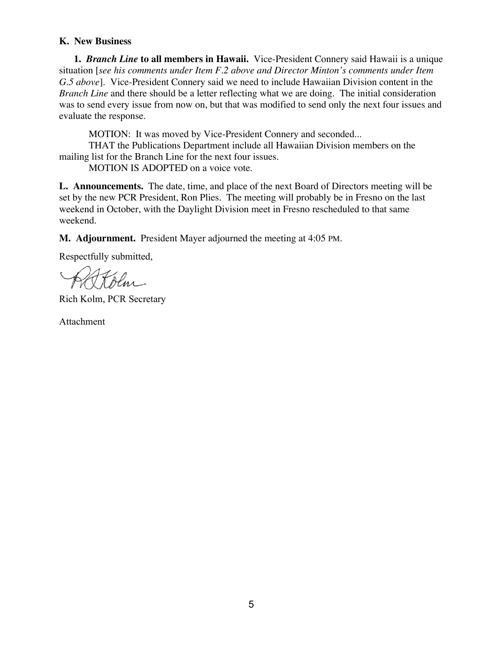#### **K. New Business**

**1.** *Branch Line* **to all members in Hawaii.** Vice-President Connery said Hawaii is a unique situation [*see his comments under Item F.2 above and Director Minton's comments under Item G.5 above*]. Vice-President Connery said we need to include Hawaiian Division content in the *Branch Line* and there should be a letter reflecting what we are doing. The initial consideration was to send every issue from now on, but that was modified to send only the next four issues and evaluate the response.

MOTION: It was moved by Vice-President Connery and seconded... THAT the Publications Department include all Hawaiian Division members on the mailing list for the Branch Line for the next four issues.

MOTION IS ADOPTED on a voice vote.

**L. Announcements.** The date, time, and place of the next Board of Directors meeting will be set by the new PCR President, Ron Plies. The meeting will probably be in Fresno on the last weekend in October, with the Daylight Division meet in Fresno rescheduled to that same weekend.

**M. Adjournment.** President Mayer adjourned the meeting at 4:05 PM.

Respectfully submitted,

Rich Kolm, PCR Secretary

Attachment